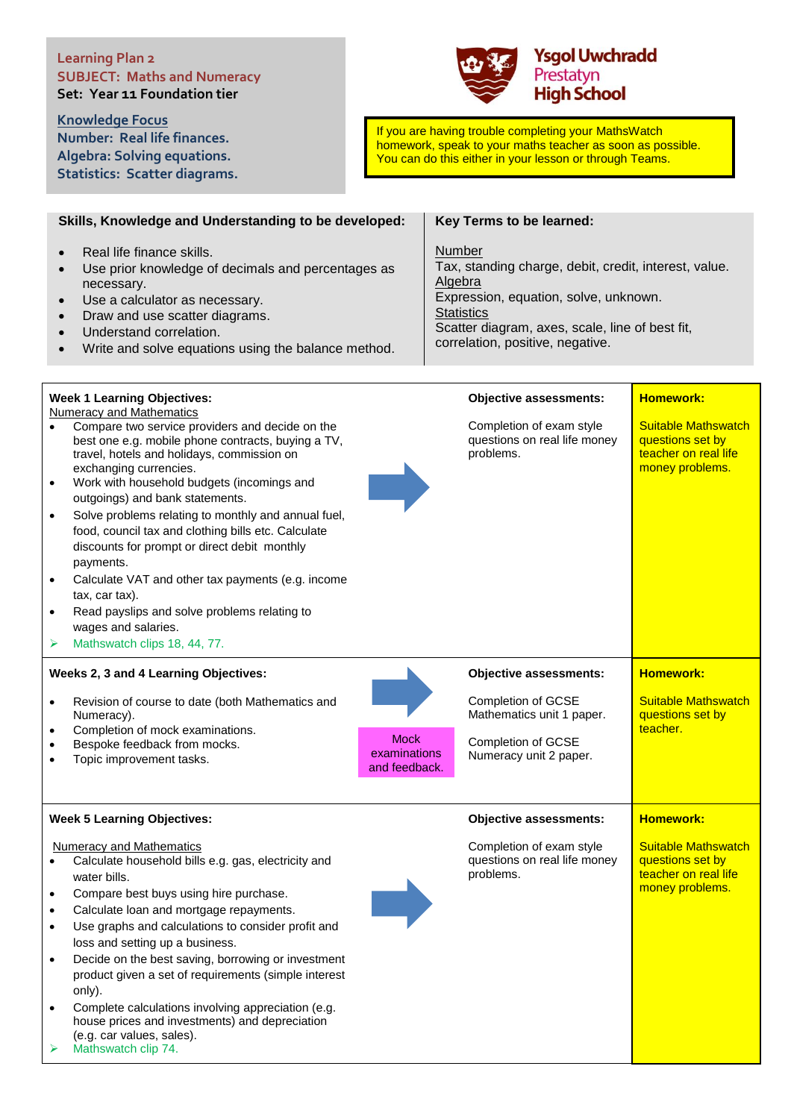## **Learning Plan 2 SUBJECT: Maths and Numeracy Set: Year 11 Foundation tier**

**Knowledge Focus Number: Real life finances. Algebra: Solving equations. Statistics: Scatter diagrams.**



If you are having trouble completing your MathsWatch homework, speak to your maths teacher as soon as possible. You can do this either in your lesson or through Teams.

|                                     | Skills, Knowledge and Understanding to be developed:                                                                                                                                                                                                                                                                                                                                                                                                                                                                                                                     | Key Terms to be learned:                                                                                                                                                                                                        |                                                                                           |
|-------------------------------------|--------------------------------------------------------------------------------------------------------------------------------------------------------------------------------------------------------------------------------------------------------------------------------------------------------------------------------------------------------------------------------------------------------------------------------------------------------------------------------------------------------------------------------------------------------------------------|---------------------------------------------------------------------------------------------------------------------------------------------------------------------------------------------------------------------------------|-------------------------------------------------------------------------------------------|
| $\bullet$                           | Real life finance skills.<br>Use prior knowledge of decimals and percentages as<br>necessary.<br>Use a calculator as necessary.<br>Draw and use scatter diagrams.<br>Understand correlation.<br>Write and solve equations using the balance method.                                                                                                                                                                                                                                                                                                                      | Number<br>Tax, standing charge, debit, credit, interest, value.<br>Algebra<br>Expression, equation, solve, unknown.<br><b>Statistics</b><br>Scatter diagram, axes, scale, line of best fit,<br>correlation, positive, negative. |                                                                                           |
|                                     | <b>Week 1 Learning Objectives:</b>                                                                                                                                                                                                                                                                                                                                                                                                                                                                                                                                       | <b>Objective assessments:</b>                                                                                                                                                                                                   | <b>Homework:</b>                                                                          |
| $\bullet$<br>$\bullet$<br>$\bullet$ | Numeracy and Mathematics<br>Compare two service providers and decide on the<br>best one e.g. mobile phone contracts, buying a TV,<br>travel, hotels and holidays, commission on<br>exchanging currencies.<br>Work with household budgets (incomings and<br>outgoings) and bank statements.<br>Solve problems relating to monthly and annual fuel,<br>food, council tax and clothing bills etc. Calculate<br>discounts for prompt or direct debit monthly<br>payments.<br>Calculate VAT and other tax payments (e.g. income<br>tax, car tax).                             | Completion of exam style<br>questions on real life money<br>problems.                                                                                                                                                           | <b>Suitable Mathswatch</b><br>questions set by<br>teacher on real life<br>money problems. |
|                                     | Read payslips and solve problems relating to                                                                                                                                                                                                                                                                                                                                                                                                                                                                                                                             |                                                                                                                                                                                                                                 |                                                                                           |
| ➤                                   | wages and salaries.<br>Mathswatch clips 18, 44, 77.                                                                                                                                                                                                                                                                                                                                                                                                                                                                                                                      |                                                                                                                                                                                                                                 |                                                                                           |
|                                     |                                                                                                                                                                                                                                                                                                                                                                                                                                                                                                                                                                          |                                                                                                                                                                                                                                 |                                                                                           |
| $\bullet$                           | Weeks 2, 3 and 4 Learning Objectives:<br>Revision of course to date (both Mathematics and<br>Numeracy).<br>Completion of mock examinations.<br><b>Mock</b><br>Bespoke feedback from mocks.<br>examinations<br>Topic improvement tasks.<br>and feedback.                                                                                                                                                                                                                                                                                                                  | <b>Objective assessments:</b><br>Completion of GCSE<br>Mathematics unit 1 paper.<br>Completion of GCSE<br>Numeracy unit 2 paper.                                                                                                | <b>Homework:</b><br>Suitable Mathswatch<br>questions set by<br>teacher.                   |
|                                     | <b>Week 5 Learning Objectives:</b>                                                                                                                                                                                                                                                                                                                                                                                                                                                                                                                                       | <b>Objective assessments:</b>                                                                                                                                                                                                   | <b>Homework:</b>                                                                          |
| $\bullet$<br>$\bullet$              | <b>Numeracy and Mathematics</b><br>Calculate household bills e.g. gas, electricity and<br>water bills.<br>Compare best buys using hire purchase.<br>Calculate loan and mortgage repayments.<br>Use graphs and calculations to consider profit and<br>loss and setting up a business.<br>Decide on the best saving, borrowing or investment<br>product given a set of requirements (simple interest<br>only).<br>Complete calculations involving appreciation (e.g.<br>house prices and investments) and depreciation<br>(e.g. car values, sales).<br>Mathswatch clip 74. | Completion of exam style<br>questions on real life money<br>problems.                                                                                                                                                           | <b>Suitable Mathswatch</b><br>questions set by<br>teacher on real life<br>money problems. |